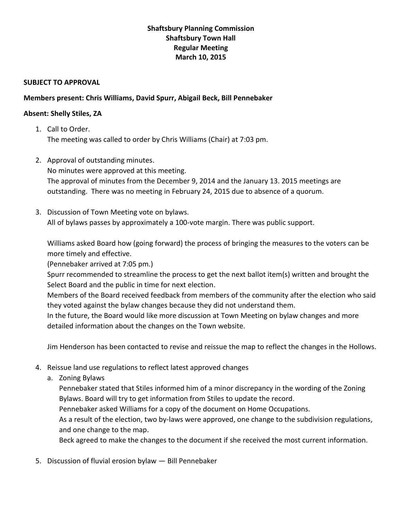## **Shaftsbury Planning Commission Shaftsbury Town Hall Regular Meeting March 10, 2015**

## **SUBJECT TO APPROVAL**

## **Members present: Chris Williams, David Spurr, Abigail Beck, Bill Pennebaker**

## **Absent: Shelly Stiles, ZA**

- 1. Call to Order. The meeting was called to order by Chris Williams (Chair) at 7:03 pm.
- 2. Approval of outstanding minutes. No minutes were approved at this meeting. The approval of minutes from the December 9, 2014 and the January 13. 2015 meetings are outstanding. There was no meeting in February 24, 2015 due to absence of a quorum.
- 3. Discussion of Town Meeting vote on bylaws. All of bylaws passes by approximately a 100-vote margin. There was public support.

Williams asked Board how (going forward) the process of bringing the measures to the voters can be more timely and effective.

(Pennebaker arrived at 7:05 pm.)

Spurr recommended to streamline the process to get the next ballot item(s) written and brought the Select Board and the public in time for next election.

Members of the Board received feedback from members of the community after the election who said they voted against the bylaw changes because they did not understand them.

In the future, the Board would like more discussion at Town Meeting on bylaw changes and more detailed information about the changes on the Town website.

Jim Henderson has been contacted to revise and reissue the map to reflect the changes in the Hollows.

- 4. Reissue land use regulations to reflect latest approved changes
	- a. Zoning Bylaws

Pennebaker stated that Stiles informed him of a minor discrepancy in the wording of the Zoning Bylaws. Board will try to get information from Stiles to update the record.

Pennebaker asked Williams for a copy of the document on Home Occupations.

As a result of the election, two by-laws were approved, one change to the subdivision regulations, and one change to the map.

Beck agreed to make the changes to the document if she received the most current information.

5. Discussion of fluvial erosion bylaw — Bill Pennebaker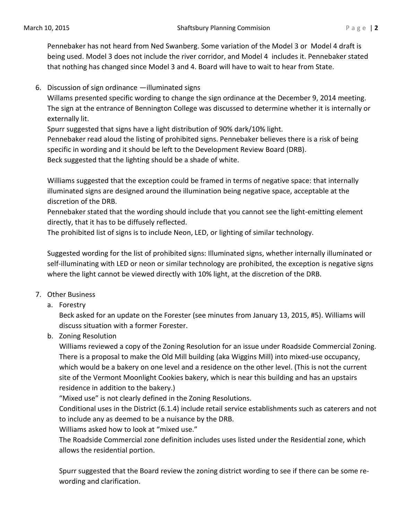Pennebaker has not heard from Ned Swanberg. Some variation of the Model 3 or Model 4 draft is being used. Model 3 does not include the river corridor, and Model 4 includes it. Pennebaker stated that nothing has changed since Model 3 and 4. Board will have to wait to hear from State.

6. Discussion of sign ordinance —illuminated signs

Willams presented specific wording to change the sign ordinance at the December 9, 2014 meeting. The sign at the entrance of Bennington College was discussed to determine whether it is internally or externally lit.

Spurr suggested that signs have a light distribution of 90% dark/10% light. Pennebaker read aloud the listing of prohibited signs. Pennebaker believes there is a risk of being specific in wording and it should be left to the Development Review Board (DRB). Beck suggested that the lighting should be a shade of white.

Williams suggested that the exception could be framed in terms of negative space: that internally illuminated signs are designed around the illumination being negative space, acceptable at the discretion of the DRB.

Pennebaker stated that the wording should include that you cannot see the light-emitting element directly, that it has to be diffusely reflected.

The prohibited list of signs is to include Neon, LED, or lighting of similar technology.

Suggested wording for the list of prohibited signs: Illuminated signs, whether internally illuminated or self-illuminating with LED or neon or similar technology are prohibited, the exception is negative signs where the light cannot be viewed directly with 10% light, at the discretion of the DRB.

- 7. Other Business
	- a. Forestry

Beck asked for an update on the Forester (see minutes from January 13, 2015, #5). Williams will discuss situation with a former Forester.

b. Zoning Resolution

Williams reviewed a copy of the Zoning Resolution for an issue under Roadside Commercial Zoning. There is a proposal to make the Old Mill building (aka Wiggins Mill) into mixed-use occupancy, which would be a bakery on one level and a residence on the other level. (This is not the current site of the Vermont Moonlight Cookies bakery, which is near this building and has an upstairs residence in addition to the bakery.)

"Mixed use" is not clearly defined in the Zoning Resolutions.

Conditional uses in the District (6.1.4) include retail service establishments such as caterers and not to include any as deemed to be a nuisance by the DRB.

Williams asked how to look at "mixed use."

The Roadside Commercial zone definition includes uses listed under the Residential zone, which allows the residential portion.

Spurr suggested that the Board review the zoning district wording to see if there can be some rewording and clarification.